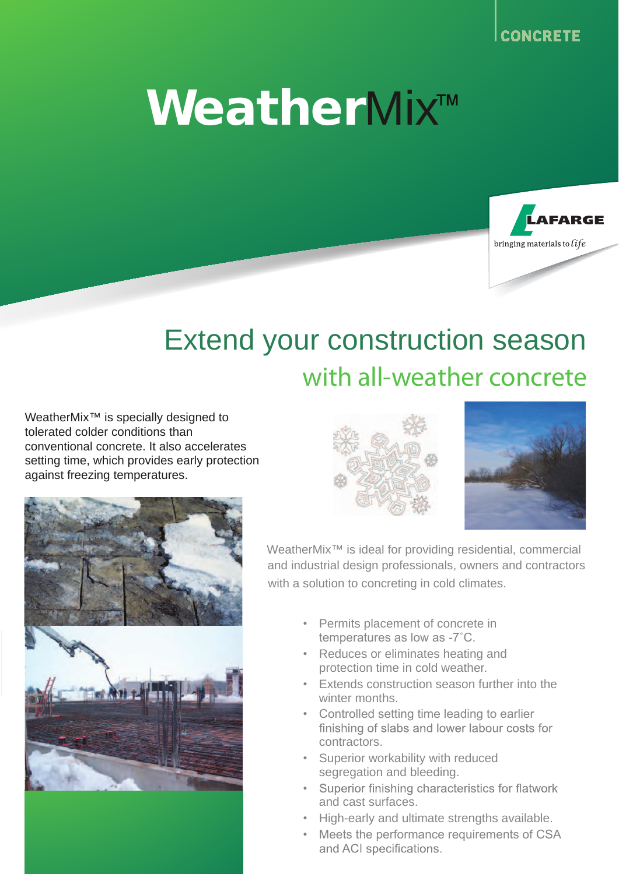## **WeatherMix™**



## Extend your construction season with all-weather concrete

WeatherMix<sup>™</sup> is specially designed to tolerated colder conditions than conventional concrete. It also accelerates setting time, which provides early protection against freezing temperatures.







- Permits placement of concrete in temperatures as low as -7˚C.
- Reduces or eliminates heating and protection time in cold weather.
- Extends construction season further into the winter months.
- Controlled setting time leading to earlier<br>finishing of slabs and lower labour costs for contractors.
- Superior workability with reduced segregation and bleeding.
- Superior finishing characteristics for flatwork and cast surfaces.
- High-early and ultimate strengths available.
- Meets the performance requirements of CSA and ACI specifications.